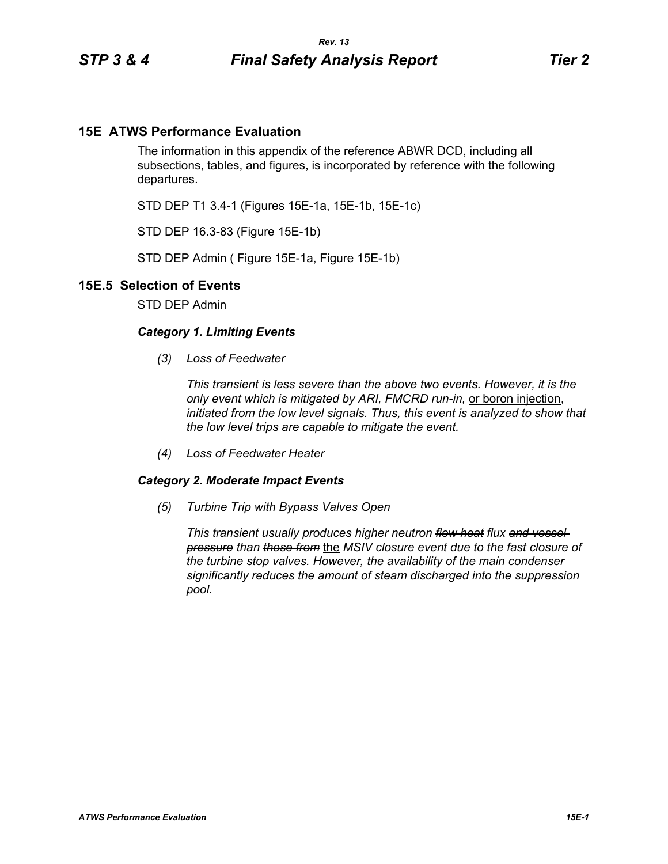## **15E ATWS Performance Evaluation**

The information in this appendix of the reference ABWR DCD, including all subsections, tables, and figures, is incorporated by reference with the following departures.

STD DEP T1 3.4-1 (Figures 15E-1a, 15E-1b, 15E-1c)

STD DEP 16.3-83 (Figure 15E-1b)

STD DEP Admin ( Figure 15E-1a, Figure 15E-1b)

## **15E.5 Selection of Events**

STD DEP Admin

## *Category 1. Limiting Events*

*(3) Loss of Feedwater*

*This transient is less severe than the above two events. However, it is the only event which is mitigated by ARI, FMCRD run-in,* or boron injection, *initiated from the low level signals. Thus, this event is analyzed to show that the low level trips are capable to mitigate the event.*

*(4) Loss of Feedwater Heater*

## *Category 2. Moderate Impact Events*

*(5) Turbine Trip with Bypass Valves Open*

*This transient usually produces higher neutron flow heat flux and vessel pressure than those from* the *MSIV closure event due to the fast closure of the turbine stop valves. However, the availability of the main condenser significantly reduces the amount of steam discharged into the suppression pool.*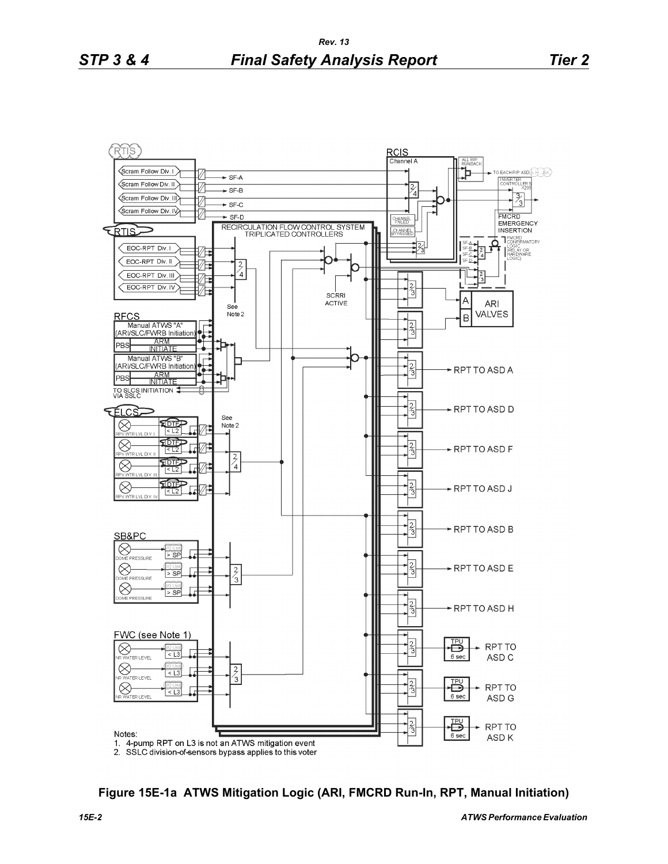

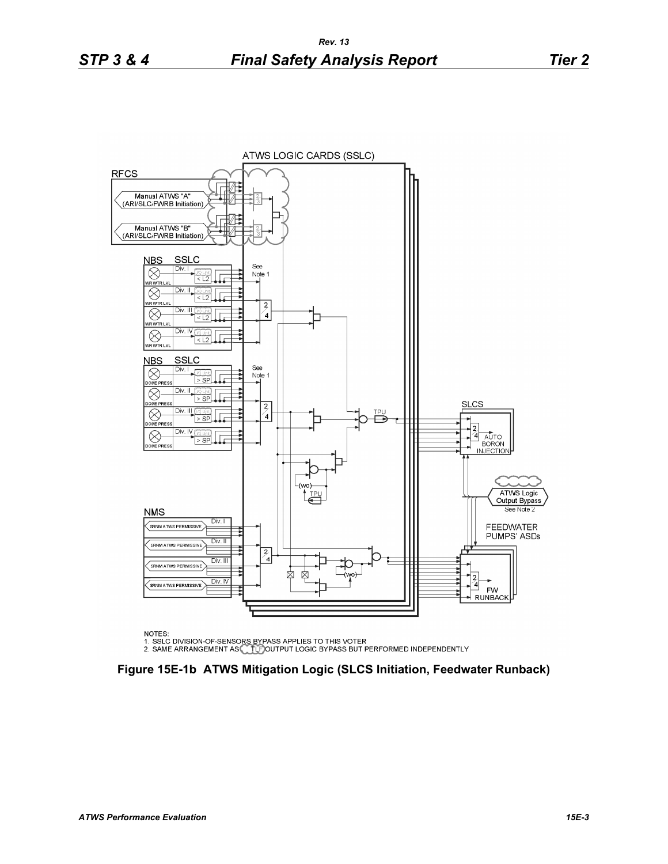

NOTES:

NOTES.<br>1. SSLC DIVISION-OF-SENSORS BYPASS APPLIES TO THIS VOTER<br>2. SAME ARRANGEMENT AS COLLED OUTPUT LOGIC BYPASS BUT PERFORMED INDEPENDENTLY

**Figure 15E-1b ATWS Mitigation Logic (SLCS Initiation, Feedwater Runback)**